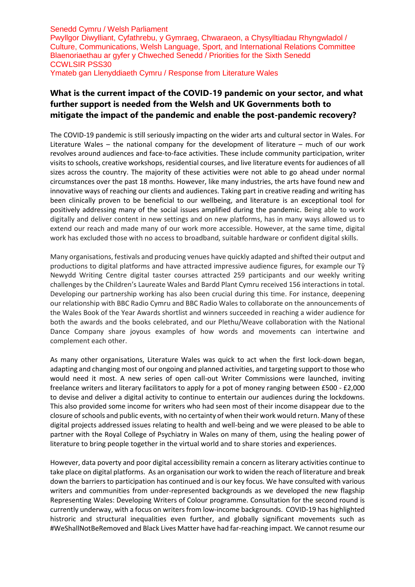## **What is the current impact of the COVID-19 pandemic on your sector, and what further support is needed from the Welsh and UK Governments both to mitigate the impact of the pandemic and enable the post-pandemic recovery?**

The COVID-19 pandemic is still seriously impacting on the wider arts and cultural sector in Wales. For Literature Wales – the national company for the development of literature – much of our work revolves around audiences and face-to-face activities. These include community participation, writer visits to schools, creative workshops, residential courses, and live literature events for audiences of all sizes across the country. The majority of these activities were not able to go ahead under normal circumstances over the past 18 months. However, like many industries, the arts have found new and innovative ways of reaching our clients and audiences. Taking part in creative reading and writing has been clinically proven to be beneficial to our wellbeing, and literature is an exceptional tool for positively addressing many of the social issues amplified during the pandemic. Being able to work digitally and deliver content in new settings and on new platforms, has in many ways allowed us to extend our reach and made many of our work more accessible. However, at the same time, digital work has excluded those with no access to broadband, suitable hardware or confident digital skills.

Many organisations, festivals and producing venues have quickly adapted and shifted their output and productions to digital platforms and have attracted impressive audience figures, for example our Tŷ Newydd Writing Centre digital taster courses attracted 259 participants and our weekly writing challenges by the Children's Laureate Wales and Bardd Plant Cymru received 156 interactions in total. Developing our partnership working has also been crucial during this time. For instance, deepening our relationship with BBC Radio Cymru and BBC Radio Wales to collaborate on the announcements of the Wales Book of the Year Awards shortlist and winners succeeded in reaching a wider audience for both the awards and the books celebrated, and our Plethu/Weave collaboration with the National Dance Company share joyous examples of how words and movements can intertwine and complement each other.

As many other organisations, Literature Wales was quick to act when the first lock-down began, adapting and changing most of our ongoing and planned activities, and targeting support to those who would need it most. A new series of open call-out Writer Commissions were launched, inviting freelance writers and literary facilitators to apply for a pot of money ranging between £500 - £2,000 to devise and deliver a digital activity to continue to entertain our audiences during the lockdowns. This also provided some income for writers who had seen most of their income disappear due to the closure of schools and public events, with no certainty of when their work would return. Many of these digital projects addressed issues relating to health and well-being and we were pleased to be able to partner with the Royal College of Psychiatry in Wales on many of them, using the healing power of literature to bring people together in the virtual world and to share stories and experiences.

However, data poverty and poor digital accessibility remain a concern as literary activities continue to take place on digital platforms. As an organisation our work to widen the reach of literature and break down the barriers to participation has continued and is our key focus. We have consulted with various writers and communities from under-represented backgrounds as we developed the new flagship Representing Wales: Developing Writers of Colour programme. Consultation for the second round is currently underway, with a focus on writers from low-income backgrounds. COVID-19 has highlighted histroric and structural inequalities even further, and globally significant movements such as #WeShallNotBeRemoved and Black Lives Matter have had far-reaching impact. We cannot resume our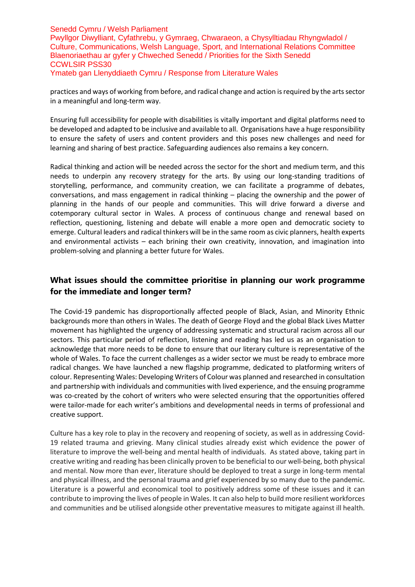practices and ways of working from before, and radical change and action is required by the arts sector in a meaningful and long-term way.

Ensuring full accessibility for people with disabilities is vitally important and digital platforms need to be developed and adapted to be inclusive and available to all. Organisations have a huge responsibility to ensure the safety of users and content providers and this poses new challenges and need for learning and sharing of best practice. Safeguarding audiences also remains a key concern.

Radical thinking and action will be needed across the sector for the short and medium term, and this needs to underpin any recovery strategy for the arts. By using our long-standing traditions of storytelling, performance, and community creation, we can facilitate a programme of debates, conversations, and mass engagement in radical thinking – placing the ownership and the power of planning in the hands of our people and communities. This will drive forward a diverse and cotemporary cultural sector in Wales. A process of continuous change and renewal based on reflection, questioning, listening and debate will enable a more open and democratic society to emerge. Cultural leaders and radical thinkers will be in the same room as civic planners, health experts and environmental activists – each brining their own creativity, innovation, and imagination into problem-solving and planning a better future for Wales.

### **What issues should the committee prioritise in planning our work programme for the immediate and longer term?**

The Covid-19 pandemic has disproportionally affected people of Black, Asian, and Minority Ethnic backgrounds more than others in Wales. The death of George Floyd and the global Black Lives Matter movement has highlighted the urgency of addressing systematic and structural racism across all our sectors. This particular period of reflection, listening and reading has led us as an organisation to acknowledge that more needs to be done to ensure that our literary culture is representative of the whole of Wales. To face the current challenges as a wider sector we must be ready to embrace more radical changes. We have launched a new flagship programme, dedicated to platforming writers of colour. Representing Wales: Developing Writers of Colour was planned and researched in consultation and partnership with individuals and communities with lived experience, and the ensuing programme was co-created by the cohort of writers who were selected ensuring that the opportunities offered were tailor-made for each writer's ambitions and developmental needs in terms of professional and creative support.

Culture has a key role to play in the recovery and reopening of society, as well as in addressing Covid-19 related trauma and grieving. Many clinical studies already exist which evidence the power of literature to improve the well-being and mental health of individuals. As stated above, taking part in creative writing and reading has been clinically proven to be beneficial to our well-being, both physical and mental. Now more than ever, literature should be deployed to treat a surge in long-term mental and physical illness, and the personal trauma and grief experienced by so many due to the pandemic. Literature is a powerful and economical tool to positively address some of these issues and it can contribute to improving the lives of people in Wales. It can also help to build more resilient workforces and communities and be utilised alongside other preventative measures to mitigate against ill health.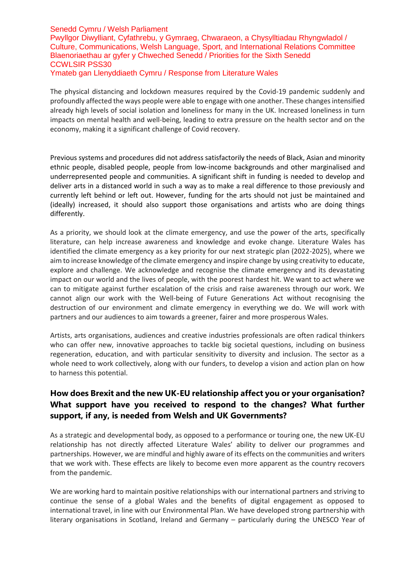The physical distancing and lockdown measures required by the Covid-19 pandemic suddenly and profoundly affected the ways people were able to engage with one another. These changesintensified already high levels of social isolation and loneliness for many in the UK. Increased loneliness in turn impacts on mental health and well-being, leading to extra pressure on the health sector and on the economy, making it a significant challenge of Covid recovery.

Previous systems and procedures did not address satisfactorily the needs of Black, Asian and minority ethnic people, disabled people, people from low-income backgrounds and other marginalised and underrepresented people and communities. A significant shift in funding is needed to develop and deliver arts in a distanced world in such a way as to make a real difference to those previously and currently left behind or left out. However, funding for the arts should not just be maintained and (ideally) increased, it should also support those organisations and artists who are doing things differently.

As a priority, we should look at the climate emergency, and use the power of the arts, specifically literature, can help increase awareness and knowledge and evoke change. Literature Wales has identified the climate emergency as a key priority for our next strategic plan (2022-2025), where we aim to increase knowledge of the climate emergency and inspire change by using creativity to educate, explore and challenge. We acknowledge and recognise the climate emergency and its devastating impact on our world and the lives of people, with the poorest hardest hit. We want to act where we can to mitigate against further escalation of the crisis and raise awareness through our work. We cannot align our work with the Well-being of Future Generations Act without recognising the destruction of our environment and climate emergency in everything we do. We will work with partners and our audiences to aim towards a greener, fairer and more prosperous Wales.

Artists, arts organisations, audiences and creative industries professionals are often radical thinkers who can offer new, innovative approaches to tackle big societal questions, including on business regeneration, education, and with particular sensitivity to diversity and inclusion. The sector as a whole need to work collectively, along with our funders, to develop a vision and action plan on how to harness this potential.

# **How does Brexit and the new UK-EU relationship affect you or your organisation? What support have you received to respond to the changes? What further support, if any, is needed from Welsh and UK Governments?**

As a strategic and developmental body, as opposed to a performance or touring one, the new UK-EU relationship has not directly affected Literature Wales' ability to deliver our programmes and partnerships. However, we are mindful and highly aware of its effects on the communities and writers that we work with. These effects are likely to become even more apparent as the country recovers from the pandemic.

We are working hard to maintain positive relationships with our international partners and striving to continue the sense of a global Wales and the benefits of digital engagement as opposed to international travel, in line with our Environmental Plan. We have developed strong partnership with literary organisations in Scotland, Ireland and Germany – particularly during the UNESCO Year of